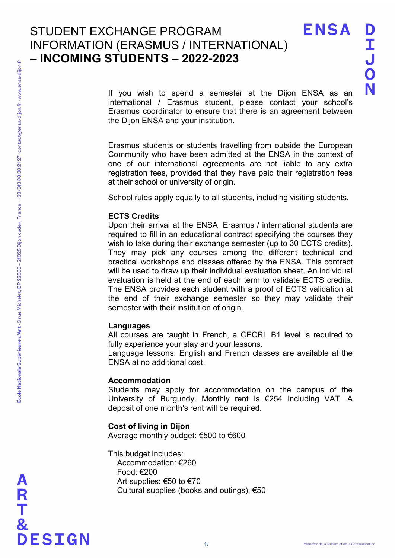**ENSA** 

If you wish to spend a semester at the Dijon ENSA as an international / Erasmus student, please contact your school's Erasmus coordinator to ensure that there is an agreement between the Dijon ENSA and your institution.

Erasmus students or students travelling from outside the European Community who have been admitted at the ENSA in the context of one of our international agreements are not liable to any extra registration fees, provided that they have paid their registration fees at their school or university of origin.

School rules apply equally to all students, including visiting students.

## ECTS Credits

Upon their arrival at the ENSA, Erasmus / international students are required to fill in an educational contract specifying the courses they wish to take during their exchange semester (up to 30 ECTS credits). They may pick any courses among the different technical and practical workshops and classes offered by the ENSA. This contract will be used to draw up their individual evaluation sheet. An individual evaluation is held at the end of each term to validate ECTS credits. The ENSA provides each student with a proof of ECTS validation at the end of their exchange semester so they may validate their semester with their institution of origin.

#### Languages

All courses are taught in French, a CECRL B1 level is required to fully experience your stay and your lessons.

Language lessons: English and French classes are available at the ENSA at no additional cost.

# Accommodation

Students may apply for accommodation on the campus of the University of Burgundy. Monthly rent is €254 including VAT. A deposit of one month's rent will be required.

# Cost of living in Dijon

Average monthly budget: €500 to €600

This budget includes: Accommodation: €260 Food: €200 Art supplies: €50 to €70 Cultural supplies (books and outings): €50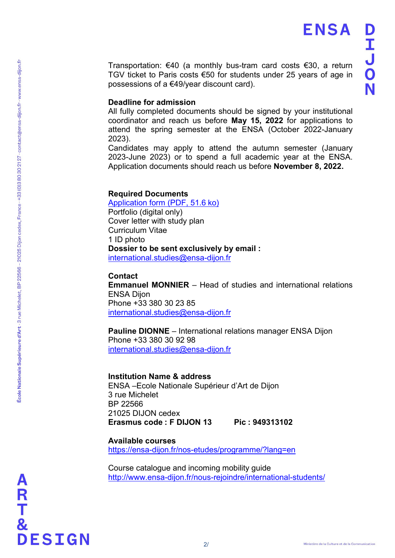**ENSA** 

Transportation: €40 (a monthly bus-tram card costs €30, a return TGV ticket to Paris costs €50 for students under 25 years of age in possessions of a €49/year discount card).

# Deadline for admission

All fully completed documents should be signed by your institutional coordinator and reach us before May 15, 2022 for applications to attend the spring semester at the ENSA (October 2022-January 2023).

Candidates may apply to attend the autumn semester (January 2023-June 2023) or to spend a full academic year at the ENSA. Application documents should reach us before November 8, 2022.

#### Required Documents

Application form (PDF, 51.6 ko) Portfolio (digital only) Cover letter with study plan Curriculum Vitae 1 ID photo Dossier to be sent exclusively by email : international.studies@ensa-dijon.fr

### **Contact**

Emmanuel MONNIER – Head of studies and international relations ENSA Dijon Phone +33 380 30 23 85 international.studies@ensa-dijon.fr

Pauline DIONNE – International relations manager ENSA Dijon Phone +33 380 30 92 98 international.studies@ensa-dijon.fr

#### Institution Name & address

ENSA –Ecole Nationale Supérieur d'Art de Dijon 3 rue Michelet BP 22566 21025 DIJON cedex Erasmus code : F DIJON 13 Pic : 949313102

Available courses https://ensa-dijon.fr/nos-etudes/programme/?lang=en

Course catalogue and incoming mobility guide http://www.ensa-dijon.fr/nous-rejoindre/international-students/

&<br>DESIGN